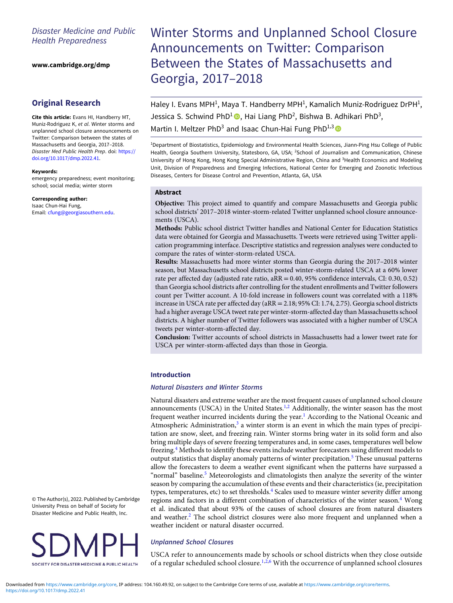# Disaster Medicine and Public Health Preparedness

[www.cambridge.org/dmp](https://www.cambridge.org/dmp)

# Original Research

Cite this article: Evans HI, Handberry MT, Muniz-Rodriguez K, et al. Winter storms and unplanned school closure announcements on Twitter: Comparison between the states of Massachusetts and Georgia, 2017–2018. Disaster Med Public Health Prep. doi: [https://](https://doi.org/10.1017/dmp.2022.41) [doi.org/10.1017/dmp.2022.41](https://doi.org/10.1017/dmp.2022.41).

#### Keywords:

emergency preparedness; event monitoring; school; social media; winter storm

#### Corresponding author:

Isaac Chun-Hai Fung, Email: [cfung@georgiasouthern.edu](mailto:cfung@georgiasouthern.edu).

# Winter Storms and Unplanned School Closure Announcements on Twitter: Comparison Between the States of Massachusetts and Georgia, 2017–2018

Haley I. Evans MPH<sup>1</sup>, Maya T. Handberry MPH<sup>1</sup>, Kamalich Muniz-Rodriguez DrPH<sup>1</sup>, Jessica S. Schwind PhD<sup>1</sup><sup>®</sup>, Hai Liang PhD<sup>2</sup>, Bishwa B. Adhikari PhD<sup>3</sup>,

Martin I. Meltzer PhD<sup>3</sup> and Isaac Chun-Hai Fung PhD<sup>1,3</sup>

<sup>1</sup>Department of Biostatistics, Epidemiology and Environmental Health Sciences, Jiann-Ping Hsu College of Public Health, Georgia Southern University, Statesboro, GA, USA; <sup>2</sup>School of Journalism and Communication, Chinese University of Hong Kong, Hong Kong Special Administrative Region, China and <sup>3</sup>Health Economics and Modeling Unit, Division of Preparedness and Emerging Infections, National Center for Emerging and Zoonotic Infectious Diseases, Centers for Disease Control and Prevention, Atlanta, GA, USA

#### Abstract

Objective: This project aimed to quantify and compare Massachusetts and Georgia public school districts' 2017–2018 winter-storm-related Twitter unplanned school closure announcements (USCA).

Methods: Public school district Twitter handles and National Center for Education Statistics data were obtained for Georgia and Massachusetts. Tweets were retrieved using Twitter application programming interface. Descriptive statistics and regression analyses were conducted to compare the rates of winter-storm-related USCA.

Results: Massachusetts had more winter storms than Georgia during the 2017–2018 winter season, but Massachusetts school districts posted winter-storm-related USCA at a 60% lower rate per affected day (adjusted rate ratio, aRR = 0.40, 95% confidence intervals, CI: 0.30, 0.52) than Georgia school districts after controlling for the student enrollments and Twitter followers count per Twitter account. A 10-fold increase in followers count was correlated with a 118% increase in USCA rate per affected day (aRR = 2.18; 95% CI: 1.74, 2.75). Georgia school districts had a higher average USCA tweet rate per winter-storm-affected day than Massachusetts school districts. A higher number of Twitter followers was associated with a higher number of USCA tweets per winter-storm-affected day.

Conclusion: Twitter accounts of school districts in Massachusetts had a lower tweet rate for USCA per winter-storm-affected days than those in Georgia.

## Introduction

#### Natural Disasters and Winter Storms

Natural disasters and extreme weather are the most frequent causes of unplanned school closure announcements (USCA) in the United States.<sup>[1](#page-7-0),[2](#page-7-0)</sup> Additionally, the winter season has the most frequent weather incurred incidents during the year.<sup>[1](#page-7-0)</sup> According to the National Oceanic and Atmospheric Administration, $3$  a winter storm is an event in which the main types of precipitation are snow, sleet, and freezing rain. Winter storms bring water in its solid form and also bring multiple days of severe freezing temperatures and, in some cases, temperatures well below freezing.<sup>[4](#page-7-0)</sup> Methods to identify these events include weather forecasters using different models to output statistics that display anomaly patterns of winter precipitation.[5](#page-7-0) These unusual patterns allow the forecasters to deem a weather event significant when the patterns have surpassed a "normal" baseline.<sup>[5](#page-7-0)</sup> Meteorologists and climatologists then analyze the severity of the winter season by comparing the accumulation of these events and their characteristics (ie, precipitation types, temperatures, etc) to set thresholds.<sup>[4](#page-7-0)</sup> Scales used to measure winter severity differ among regions and factors in a different combination of characteristics of the winter season.<sup>[4](#page-7-0)</sup> Wong et al. indicated that about 93% of the causes of school closures are from natural disasters and weather.<sup>[2](#page-7-0)</sup> The school district closures were also more frequent and unplanned when a weather incident or natural disaster occurred.

## Unplanned School Closures

USCA refer to announcements made by schools or school districts when they close outside of a regular scheduled school closure.<sup>[1](#page-7-0),[2](#page-7-0),[6](#page-7-0)</sup> With the occurrence of unplanned school closures

<https://doi.org/10.1017/dmp.2022.41> Downloaded from<https://www.cambridge.org/core>, IP address: 104.160.49.92, on subject to the Cambridge Core terms of use, available at <https://www.cambridge.org/core/terms>.

© The Author(s), 2022. Published by Cambridge University Press on behalf of Society for Disaster Medicine and Public Health, Inc.

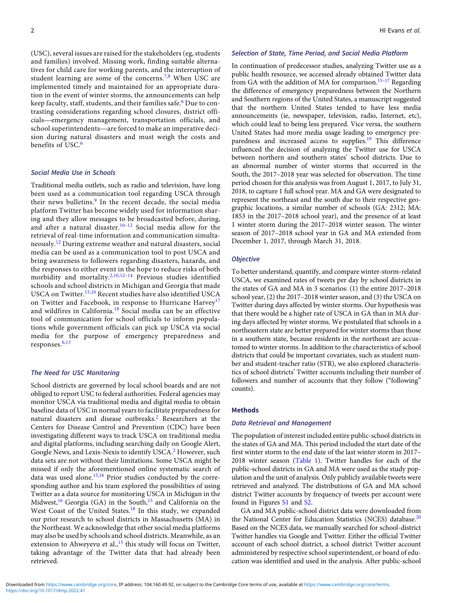(USC), several issues are raised for the stakeholders (eg, students and families) involved. Missing work, finding suitable alternatives for child care for working parents, and the interruption of student learning are some of the concerns.<sup>[7](#page-7-0),[8](#page-7-0)</sup> When USC are

implemented timely and maintained for an appropriate duramiplemented unlery and manitalitied for an appropriate duration in the event of winter storms, the announcements can help<br>keep faculty, staff, students, and their families safe.<sup>6</sup> Due to con-<br>trasting considerations regar tion in the event of winter storms, the announcements can help<br>keep faculty, staff, students, and their families safe.<sup>[6](#page-7-0)</sup> Due to con-<br>trasting considerations regarding school closures, district offi-<br>cials—emergency manage trasting considerations regarding school closures, district offision during natural disasters and must weigh the costs and benefits of USC.<sup>[6](#page-7-0)</sup>

#### Social Media Use in Schools

Traditional media outlets, such as radio and television, have long been used as a communication tool regarding USCA through their news bulletins.<sup>[9](#page-7-0)</sup> In the recent decade, the social media platform Twitter has become widely used for information sharing and they allow messages to be broadcasted before, during, and after a natural disaster.<sup>[10](#page-7-0)-[12](#page-7-0)</sup> Social media allow for the retrieval of real-time information and communication simultaneously.[12](#page-7-0) During extreme weather and natural disasters, social media can be used as a communication tool to post USCA and bring awareness to followers regarding disasters, hazards, and the responses to either event in the hope to reduce risks of both morbidity and mortality.<sup>[2,10](#page-7-0),[12](#page-7-0)-[14](#page-7-0)</sup> Previous studies identified schools and school districts in Michigan and Georgia that made USCA on Twitter.[15](#page-7-0),[16](#page-7-0) Recent studies have also identified USCA on Twitter and Facebook, in response to Hurricane Harvey<sup>[17](#page-7-0)</sup> and wildfires in California.[18](#page-7-0) Social media can be an effective tool of communication for school officials to inform populations while government officials can pick up USCA via social media for the purpose of emergency preparedness and responses.<sup>[6,13](#page-7-0)</sup>

#### The Need for USC Monitoring

School districts are governed by local school boards and are not obliged to report USC to federal authorities. Federal agencies may monitor USCA via traditional media and digital media to obtain baseline data of USC in normal years to facilitate preparedness for natural disasters and disease outbreaks.[2](#page-7-0) Researchers at the Centers for Disease Control and Prevention (CDC) have been investigating different ways to track USCA on traditional media and digital platforms, including searching daily on Google Alert, Google News, and Lexis-Nexis to identify USCA.<sup>[2](#page-7-0)</sup> However, such data sets are not without their limitations. Some USCA might be missed if only the aforementioned online systematic search of data was used alone.<sup>[15,16](#page-7-0)</sup> Prior studies conducted by the corresponding author and his team explored the possibilities of using Twitter as a data source for monitoring USCA in Michigan in the Midwest,<sup>[16](#page-7-0)</sup> Georgia (GA) in the South,<sup>[15](#page-7-0)</sup> and California on the West Coast of the United States.<sup>[18](#page-7-0)</sup> In this study, we expanded our prior research to school districts in Massachusetts (MA) in the Northeast. We acknowledge that other social media platforms may also be used by schools and school districts. Meanwhile, as an extension to Ahweyevu et al.,<sup>[15](#page-7-0)</sup> this study will focus on Twitter, taking advantage of the Twitter data that had already been retrieved.

#### Selection of State, Time Period, and Social Media Platform

In continuation of predecessor studies, analyzing Twitter use as a public health resource, we accessed already obtained Twitter data from GA with the addition of MA for comparison.<sup>[15](#page-7-0)–[17](#page-7-0)</sup> Regarding the difference of emergency preparedness between the Northern and Southern regions of the United States, a manuscript suggested that the northern United States tended to have less media announcements (ie, newspaper, television, radio, Internet, etc), which could lead to being less prepared. Vice versa, the southern United States had more media usage leading to emergency pre-paredness and increased access to supplies.<sup>[19](#page-7-0)</sup> This difference influenced the decision of analyzing the Twitter use for USCA between northern and southern states' school districts. Due to an abnormal number of winter storms that occurred in the South, the 2017–2018 year was selected for observation. The time period chosen for this analysis was from August 1, 2017, to July 31, 2018, to capture 1 full school year. MA and GA were designated to represent the northeast and the south due to their respective geographic locations, a similar number of schools (GA: 2312; MA: 1853 in the 2017–2018 school year), and the presence of at least 1 winter storm during the 2017–2018 winter season. The winter season of 2017–2018 school year in GA and MA extended from December 1, 2017, through March 31, 2018.

#### **Objective**

To better understand, quantify, and compare winter-storm-related USCA, we examined rates of tweets per day by school districts in the states of GA and MA in 3 scenarios: (1) the entire 2017–2018 school year, (2) the 2017–2018 winter season, and (3) the USCA on Twitter during days affected by winter storms. Our hypothesis was that there would be a higher rate of USCA in GA than in MA during days affected by winter storms. We postulated that schools in a northeastern state are better prepared for winter storms than those in a southern state, because residents in the northeast are accustomed to winter storms. In addition to the characteristics of school districts that could be important covariates, such as student number and student-teacher ratio (STR), we also explored characteristics of school districts' Twitter accounts including their number of followers and number of accounts that they follow ("following" counts).

#### Methods

#### Data Retrieval and Management

The population of interest included entire public-school districts in the states of GA and MA. This period included the start date of the first winter storm to the end date of the last winter storm in 2017– 2018 winter season [\(Table 1\)](#page-2-0). Twitter handles for each of the public-school districts in GA and MA were used as the study population and the unit of analysis. Only publicly available tweets were retrieved and analyzed. The distributions of GA and MA school district Twitter accounts by frequency of tweets per account were found in Figures [S1](https://doi.org/10.1017/dmp.2022.41) and [S2.](https://doi.org/10.1017/dmp.2022.41)

GA and MA public-school district data were downloaded from the National Center for Education Statistics (NCES) database.<sup>[20](#page-7-0)</sup> Based on the NCES data, we manually searched for school-district Twitter handles via Google and Twitter. Either the official Twitter account of each school district, a school district Twitter account administered by respective school superintendent, or board of education was identified and used in the analysis. After public-school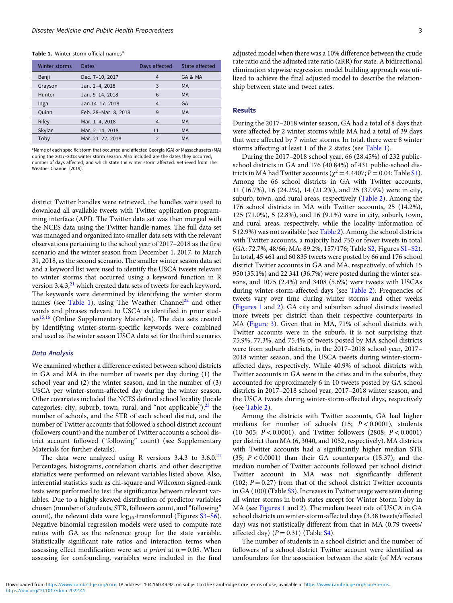<span id="page-2-0"></span>Table 1. Winter storm official names<sup>a</sup>

| <b>Winter storms</b> | Dates                | Days affected | State affected |
|----------------------|----------------------|---------------|----------------|
| Benji                | Dec. 7-10, 2017      | 4             | GA & MA        |
| Grayson              | Jan. 2-4, 2018       | 3             | <b>MA</b>      |
| Hunter               | Jan. 9-14, 2018      | 6             | MA             |
| Inga                 | Jan.14-17, 2018      | 4             | GA             |
| Quinn                | Feb. 28-Mar. 8, 2018 | 9             | MA             |
| Riley                | Mar. 1-4, 2018       |               | MA             |
| Skylar               | Mar. 2-14, 2018      | 11            | MA             |
| Toby                 | Mar. 21-22, 2018     | $\mathcal{P}$ | MA             |

<sup>a</sup>Name of each specific storm that occurred and affected Georgia (GA) or Massachusetts (MA) during the 2017–2018 winter storm season. Also included are the dates they occurred, number of days affected, and which state the winter storm affected. Retrieved from The Weather Channel (2019).

district Twitter handles were retrieved, the handles were used to download all available tweets with Twitter application programming interface (API). The Twitter data set was then merged with the NCES data using the Twitter handle names. The full data set was managed and organized into smaller data sets with the relevant observations pertaining to the school year of 2017–2018 as the first scenario and the winter season from December 1, 2017, to March 31, 2018, as the second scenario. The smaller winter season data set and a keyword list were used to identify the USCA tweets relevant to winter storms that occurred using a keyword function in R version 3.4.3,<sup>[21](#page-7-0)</sup> which created data sets of tweets for each keyword. The keywords were determined by identifying the winter storm names (see Table 1), using The Weather Channel<sup>[22](#page-7-0)</sup> and other words and phrases relevant to USCA as identified in prior stud-ies<sup>[15](#page-7-0),[16](#page-7-0)</sup> (Online Supplementary Materials). The data sets created by identifying winter-storm-specific keywords were combined and used as the winter season USCA data set for the third scenario.

#### Data Analysis

We examined whether a difference existed between school districts in GA and MA in the number of tweets per day during (1) the school year and (2) the winter season, and in the number of (3) USCA per winter-storm-affected day during the winter season. Other covariates included the NCES defined school locality (locale categories: city, suburb, town, rural, and "not applicable"), $^{23}$  the number of schools, and the STR of each school district, and the number of Twitter accounts that followed a school district account (followers count) and the number of Twitter accounts a school district account followed ("following" count) (see Supplementary Materials for further details).

The data were analyzed using R versions  $3.4.3$  to  $3.6.0<sup>21</sup>$  $3.6.0<sup>21</sup>$  $3.6.0<sup>21</sup>$ Percentages, histograms, correlation charts, and other descriptive statistics were performed on relevant variables listed above. Also, inferential statistics such as chi-square and Wilcoxon signed-rank tests were performed to test the significance between relevant variables. Due to a highly skewed distribution of predictor variables chosen (number of students, STR, followers count, and "following" count), the relevant data were  $log_{10}$ -transformed (Figures [S3](https://doi.org/10.1017/dmp.2022.41)–[S6\)](https://doi.org/10.1017/dmp.2022.41). Negative binomial regression models were used to compute rate ratios with GA as the reference group for the state variable. Statistically significant rate ratios and interaction terms when assessing effect modification were set *a priori* at  $\alpha = 0.05$ . When assessing for confounding, variables were included in the final

adjusted model when there was a 10% difference between the crude rate ratio and the adjusted rate ratio (aRR) for state. A bidirectional elimination stepwise regression model building approach was utilized to achieve the final adjusted model to describe the relationship between state and tweet rates.

#### Results

During the 2017–2018 winter season, GA had a total of 8 days that were affected by 2 winter storms while MA had a total of 39 days that were affected by 7 winter storms. In total, there were 8 winter storms affecting at least 1 of the 2 states (see Table 1).

During the 2017–2018 school year, 66 (28.45%) of 232 publicschool districts in GA and 176 (40.84%) of 431 public-school districts in MA had Twitter accounts ( $\chi^2$  = 4.4407; P = 0.04; Table [S1\)](https://doi.org/10.1017/dmp.2022.41). Among the 66 school districts in GA with Twitter accounts, 11 (16.7%), 16 (24.2%), 14 (21.2%), and 25 (37.9%) were in city, suburb, town, and rural areas, respectively ([Table 2](#page-3-0)). Among the 176 school districts in MA with Twitter accounts, 25 (14.2%), 125 (71.0%), 5 (2.8%), and 16 (9.1%) were in city, suburb, town, and rural areas, respectively, while the locality information of 5 (2.9%) was not available (see [Table 2\)](#page-3-0). Among the school districts with Twitter accounts, a majority had 750 or fewer tweets in total (GA: 72.7%, 48/66; MA: 89.2%, 157/176; Table [S2,](https://doi.org/10.1017/dmp.2022.41) Figures [S1](https://doi.org/10.1017/dmp.2022.41)–[S2\)](https://doi.org/10.1017/dmp.2022.41). In total, 45 461 and 60 835 tweets were posted by 66 and 176 school district Twitter accounts in GA and MA, respectively, of which 15 950 (35.1%) and 22 341 (36.7%) were posted during the winter seasons, and 1075 (2.4%) and 3408 (5.6%) were tweets with USCAs during winter-storm-affected days (see [Table 2\)](#page-3-0). Frequencies of tweets vary over time during winter storms and other weeks [\(Figures 1](#page-3-0) and [2](#page-4-0)). GA city and suburban school districts tweeted more tweets per district than their respective counterparts in MA ([Figure 3](#page-5-0)). Given that in MA, 71% of school districts with Twitter accounts were in the suburb, it is not surprising that 75.9%, 77.3%, and 75.4% of tweets posted by MA school districts were from suburb districts, in the 2017–2018 school year, 2017– 2018 winter season, and the USCA tweets during winter-stormaffected days, respectively. While 40.9% of school districts with Twitter accounts in GA were in the cities and in the suburbs, they accounted for approximately 6 in 10 tweets posted by GA school districts in 2017–2018 school year, 2017–2018 winter season, and the USCA tweets during winter-storm-affected days, respectively (see [Table 2](#page-3-0)).

Among the districts with Twitter accounts, GA had higher medians for number of schools  $(15; P < 0.0001)$ , students (10 305; P < 0.0001), and Twitter followers (2808; P < 0.0001) per district than MA (6, 3040, and 1052, respectively). MA districts with Twitter accounts had a significantly higher median STR (35;  $P < 0.0001$ ) than their GA counterparts (15.37), and the median number of Twitter accounts followed per school district Twitter account in MA was not significantly different (102;  $P = 0.27$ ) from that of the school district Twitter accounts in GA (100) (Table [S3](https://doi.org/10.1017/dmp.2022.41)). Increases in Twitter usage were seen during all winter storms in both states except for Winter Storm Toby in MA (see [Figures 1](#page-3-0) and [2](#page-4-0)). The median tweet rate of USCA in GA school districts on winter-storm-affected days (3.38 tweets/affected day) was not statistically different from that in MA (0.79 tweets/ affected day)  $(P = 0.31)$  (Table [S4\)](https://doi.org/10.1017/dmp.2022.41).

The number of students in a school district and the number of followers of a school district Twitter account were identified as confounders for the association between the state (of MA versus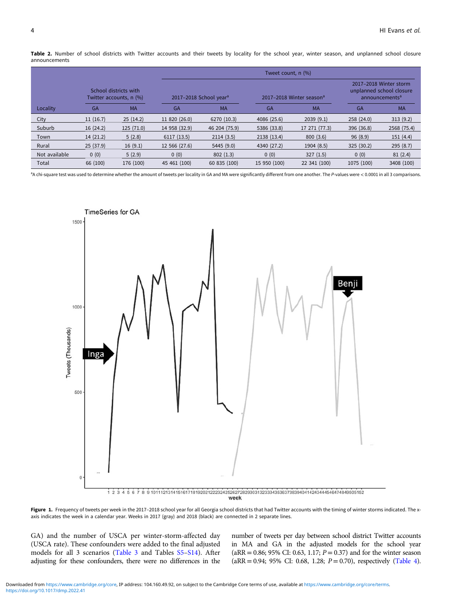<span id="page-3-0"></span>Table 2. Number of school districts with Twitter accounts and their tweets by locality for the school year, winter season, and unplanned school closure announcements

|               |           |                                                  | Tweet count, n (%) |                                    |              |                                      |            |                                                                                  |
|---------------|-----------|--------------------------------------------------|--------------------|------------------------------------|--------------|--------------------------------------|------------|----------------------------------------------------------------------------------|
|               |           | School districts with<br>Twitter accounts, n (%) |                    | 2017-2018 School year <sup>a</sup> |              | 2017-2018 Winter season <sup>a</sup> |            | 2017-2018 Winter storm<br>unplanned school closure<br>announcements <sup>a</sup> |
| Locality      | <b>GA</b> | <b>MA</b>                                        | <b>GA</b>          | <b>MA</b>                          | GA           | <b>MA</b>                            | <b>GA</b>  | <b>MA</b>                                                                        |
| City          | 11(16.7)  | 25(14.2)                                         | 11 820 (26.0)      | 6270 (10.3)                        | 4086 (25.6)  | 2039(9.1)                            | 258 (24.0) | 313(9.2)                                                                         |
| Suburb        | 16(24.2)  | 125(71.0)                                        | 14 958 (32.9)      | 46 204 (75.9)                      | 5386 (33.8)  | 17 271 (77.3)                        | 396 (36.8) | 2568 (75.4)                                                                      |
| Town          | 14(21.2)  | 5(2.8)                                           | 6117(13.5)         | 2114(3.5)                          | 2138 (13.4)  | 800(3.6)                             | 96(8.9)    | 151(4.4)                                                                         |
| Rural         | 25(37.9)  | 16(9.1)                                          | 12 566 (27.6)      | 5445 (9.0)                         | 4340 (27.2)  | 1904 (8.5)                           | 325(30.2)  | 295(8.7)                                                                         |
| Not available | 0(0)      | 5(2.9)                                           | 0(0)               | 802(1.3)                           | 0(0)         | 327(1.5)                             | 0(0)       | 81(2.4)                                                                          |
| Total         | 66 (100)  | 176 (100)                                        | 45 461 (100)       | 60 835 (100)                       | 15 950 (100) | 22 341 (100)                         | 1075 (100) | 3408 (100)                                                                       |

<sup>a</sup>A chi-square test was used to determine whether the amount of tweets per locality in GA and MA were significantly different from one another. The P-values were < 0.0001 in all 3 comparisons.



Figure 1. Frequency of tweets per week in the 2017-2018 school year for all Georgia school districts that had Twitter accounts with the timing of winter storms indicated. The xaxis indicates the week in a calendar year. Weeks in 2017 (gray) and 2018 (black) are connected in 2 separate lines.

GA) and the number of USCA per winter-storm-affected day (USCA rate). These confounders were added to the final adjusted models for all 3 scenarios [\(Table 3](#page-6-0) and Tables [S5](https://doi.org/10.1017/dmp.2022.41)–[S14](https://doi.org/10.1017/dmp.2022.41)). After adjusting for these confounders, there were no differences in the number of tweets per day between school district Twitter accounts in MA and GA in the adjusted models for the school year  $(aRR = 0.86; 95\% \text{ CI: } 0.63, 1.17; P = 0.37)$  and for the winter season  $(aRR = 0.94; 95\% \text{ CI: } 0.68, 1.28; P = 0.70)$ , respectively ([Table 4](#page-6-0)).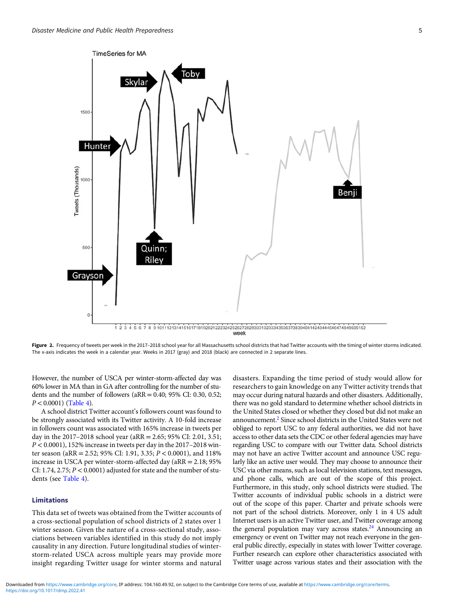<span id="page-4-0"></span>

week

Figure 2. Frequency of tweets per week in the 2017-2018 school year for all Massachusetts school districts that had Twitter accounts with the timing of winter storms indicated. The x-axis indicates the week in a calendar year. Weeks in 2017 (gray) and 2018 (black) are connected in 2 separate lines.

However, the number of USCA per winter-storm-affected day was 60% lower in MA than in GA after controlling for the number of students and the number of followers ( $aRR = 0.40$ ;  $95\%$  CI: 0.30, 0.52;  $P < 0.0001$ ) ([Table 4](#page-6-0)).

A school district Twitter account's followers count was found to be strongly associated with its Twitter activity. A 10-fold increase in followers count was associated with 165% increase in tweets per day in the 2017–2018 school year (aRR = 2.65; 95% CI: 2.01, 3.51;  $P < 0.0001$ ), 152% increase in tweets per day in the 2017–2018 winter season (aRR = 2.52; 95% CI: 1.91, 3.35; P < 0.0001), and 118% increase in USCA per winter-storm-affected day (aRR = 2.18; 95% CI: 1.74, 2.75;  $P < 0.0001$ ) adjusted for state and the number of students (see [Table 4](#page-6-0)).

#### Limitations

This data set of tweets was obtained from the Twitter accounts of a cross-sectional population of school districts of 2 states over 1 winter season. Given the nature of a cross-sectional study, associations between variables identified in this study do not imply causality in any direction. Future longitudinal studies of winterstorm-related USCA across multiple years may provide more insight regarding Twitter usage for winter storms and natural

disasters. Expanding the time period of study would allow for researchers to gain knowledge on any Twitter activity trends that may occur during natural hazards and other disasters. Additionally, there was no gold standard to determine whether school districts in the United States closed or whether they closed but did not make an announcement[.2](#page-7-0) Since school districts in the United States were not obliged to report USC to any federal authorities, we did not have access to other data sets the CDC or other federal agencies may have regarding USC to compare with our Twitter data. School districts may not have an active Twitter account and announce USC regularly like an active user would. They may choose to announce their USC via other means, such as local television stations, text messages, and phone calls, which are out of the scope of this project. Furthermore, in this study, only school districts were studied. The Twitter accounts of individual public schools in a district were out of the scope of this paper. Charter and private schools were not part of the school districts. Moreover, only 1 in 4 US adult Internet users is an active Twitter user, and Twitter coverage among the general population may vary across states. $^{24}$  Announcing an emergency or event on Twitter may not reach everyone in the general public directly, especially in states with lower Twitter coverage. Further research can explore other characteristics associated with Twitter usage across various states and their association with the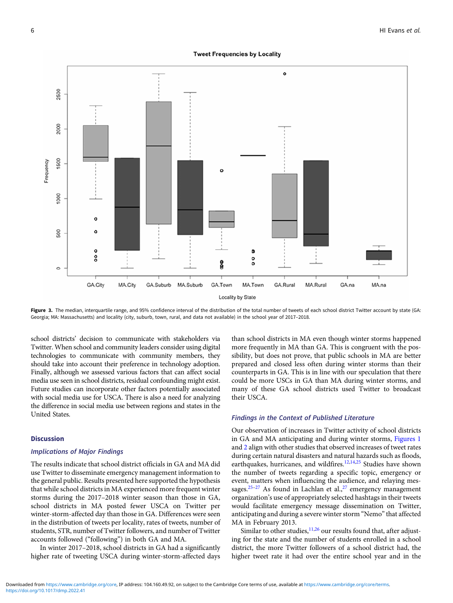#### **Tweet Frequencies by Locality**

<span id="page-5-0"></span>

Figure 3. The median, interquartile range, and 95% confidence interval of the distribution of the total number of tweets of each school district Twitter account by state (GA: Georgia; MA: Massachusetts) and locality (city, suburb, town, rural, and data not available) in the school year of 2017–2018.

school districts' decision to communicate with stakeholders via Twitter. When school and community leaders consider using digital technologies to communicate with community members, they should take into account their preference in technology adoption. Finally, although we assessed various factors that can affect social media use seen in school districts, residual confounding might exist. Future studies can incorporate other factors potentially associated with social media use for USCA. There is also a need for analyzing the difference in social media use between regions and states in the United States.

#### Discussion

#### Implications of Major Findings

The results indicate that school district officials in GA and MA did use Twitter to disseminate emergency management information to the general public. Results presented here supported the hypothesis that while school districts in MA experienced more frequent winter storms during the 2017–2018 winter season than those in GA, school districts in MA posted fewer USCA on Twitter per winter-storm-affected day than those in GA. Differences were seen in the distribution of tweets per locality, rates of tweets, number of students, STR, number of Twitter followers, and number of Twitter accounts followed ("following") in both GA and MA.

In winter 2017–2018, school districts in GA had a significantly higher rate of tweeting USCA during winter-storm-affected days

than school districts in MA even though winter storms happened more frequently in MA than GA. This is congruent with the possibility, but does not prove, that public schools in MA are better prepared and closed less often during winter storms than their counterparts in GA. This is in line with our speculation that there could be more USCs in GA than MA during winter storms, and many of these GA school districts used Twitter to broadcast their USCA.

#### Findings in the Context of Published Literature

Our observation of increases in Twitter activity of school districts in GA and MA anticipating and during winter storms, [Figures 1](#page-3-0) and [2](#page-4-0) align with other studies that observed increases of tweet rates during certain natural disasters and natural hazards such as floods, earthquakes, hurricanes, and wildfires.<sup>[12,14,](#page-7-0)[25](#page-8-0)</sup> Studies have shown the number of tweets regarding a specific topic, emergency or event, matters when influencing the audience, and relaying mes-sages.<sup>[25](#page-8-0)–[27](#page-8-0)</sup> As found in Lachlan et al.,<sup>27</sup> emergency management organization's use of appropriately selected hashtags in their tweets would facilitate emergency message dissemination on Twitter, anticipating and during a severe winter storm "Nemo" that affected MA in February 2013.

Similar to other studies, $11,26$  $11,26$  $11,26$  our results found that, after adjusting for the state and the number of students enrolled in a school district, the more Twitter followers of a school district had, the higher tweet rate it had over the entire school year and in the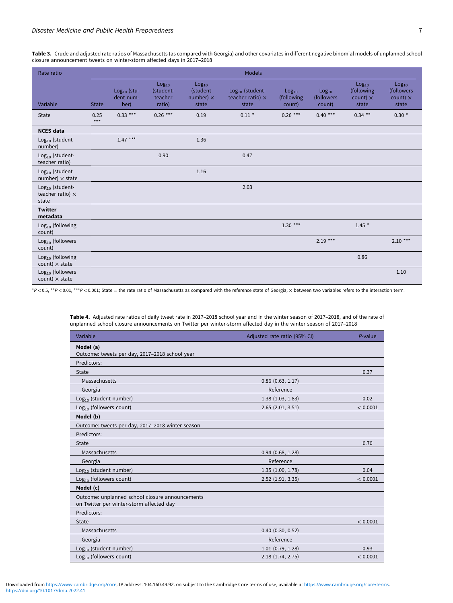<span id="page-6-0"></span>Table 3. Crude and adjusted rate ratios of Massachusetts (as compared with Georgia) and other covariates in different negative binomial models of unplanned school closure announcement tweets on winter-storm affected days in 2017–2018

| Rate ratio                                            |               |                                    |                                                     |                                                            | <b>Models</b>                                                   |                                           |                                           |                                                             |                                                             |
|-------------------------------------------------------|---------------|------------------------------------|-----------------------------------------------------|------------------------------------------------------------|-----------------------------------------------------------------|-------------------------------------------|-------------------------------------------|-------------------------------------------------------------|-------------------------------------------------------------|
| Variable                                              | <b>State</b>  | $Log10$ (stu-<br>dent num-<br>ber) | Log <sub>10</sub><br>(student-<br>teacher<br>ratio) | Log <sub>10</sub><br>(student<br>number) $\times$<br>state | Log <sub>10</sub> (student-<br>teacher ratio) $\times$<br>state | Log <sub>10</sub><br>(following<br>count) | Log <sub>10</sub><br>(followers<br>count) | Log <sub>10</sub><br>(following<br>count) $\times$<br>state | Log <sub>10</sub><br>(followers<br>count) $\times$<br>state |
| State                                                 | 0.25<br>$***$ | $0.33***$                          | $0.26***$                                           | 0.19                                                       | $0.11 *$                                                        | $0.26***$                                 | $0.40***$                                 | $0.34$ **                                                   | $0.30 *$                                                    |
| <b>NCES</b> data                                      |               |                                    |                                                     |                                                            |                                                                 |                                           |                                           |                                                             |                                                             |
| Log <sub>10</sub> (student<br>number)                 |               | $1.47***$                          |                                                     | 1.36                                                       |                                                                 |                                           |                                           |                                                             |                                                             |
| $Log10$ (student-<br>teacher ratio)                   |               |                                    | 0.90                                                |                                                            | 0.47                                                            |                                           |                                           |                                                             |                                                             |
| $Log10$ (student<br>number) $\times$ state            |               |                                    |                                                     | 1.16                                                       |                                                                 |                                           |                                           |                                                             |                                                             |
| $Log10$ (student-<br>teacher ratio) $\times$<br>state |               |                                    |                                                     |                                                            | 2.03                                                            |                                           |                                           |                                                             |                                                             |
| <b>Twitter</b><br>metadata                            |               |                                    |                                                     |                                                            |                                                                 |                                           |                                           |                                                             |                                                             |
| $Log10$ (following<br>count)                          |               |                                    |                                                     |                                                            |                                                                 | $1.30***$                                 |                                           | $1.45*$                                                     |                                                             |
| $Log10$ (followers<br>count)                          |               |                                    |                                                     |                                                            |                                                                 |                                           | $2.19***$                                 |                                                             | $2.10***$                                                   |
| $Log10$ (following<br>count) $\times$ state           |               |                                    |                                                     |                                                            |                                                                 |                                           |                                           | 0.86                                                        |                                                             |
| $Log10$ (followers<br>$count) \times state$           |               |                                    |                                                     |                                                            |                                                                 |                                           |                                           |                                                             | 1.10                                                        |

\*P < 0.5, \*\*P < 0.01, \*\*\*P < 0.001; State = the rate ratio of Massachusetts as compared with the reference state of Georgia; × between two variables refers to the interaction term.

| Variable                                                                                    | Adjusted rate ratio (95% CI) | P-value  |
|---------------------------------------------------------------------------------------------|------------------------------|----------|
| Model (a)<br>Outcome: tweets per day, 2017-2018 school year                                 |                              |          |
| Predictors:                                                                                 |                              |          |
| State                                                                                       |                              | 0.37     |
| Massachusetts                                                                               | $0.86$ $(0.63, 1.17)$        |          |
| Georgia                                                                                     | Reference                    |          |
| $Log10$ (student number)                                                                    | 1.38(1.03, 1.83)             | 0.02     |
| $Log10$ (followers count)                                                                   | $2.65$ $(2.01, 3.51)$        | < 0.0001 |
| Model (b)                                                                                   |                              |          |
| Outcome: tweets per day, 2017-2018 winter season                                            |                              |          |
| Predictors:                                                                                 |                              |          |
| State                                                                                       |                              | 0.70     |
| Massachusetts                                                                               | $0.94$ (0.68, 1.28)          |          |
| Georgia                                                                                     | Reference                    |          |
| Log <sub>10</sub> (student number)                                                          | 1.35(1.00, 1.78)             | 0.04     |
| $Log10$ (followers count)                                                                   | $2.52$ (1.91, 3.35)          | < 0.0001 |
| Model (c)                                                                                   |                              |          |
| Outcome: unplanned school closure announcements<br>on Twitter per winter-storm affected day |                              |          |
| Predictors:                                                                                 |                              |          |
| State                                                                                       |                              | < 0.0001 |
| Massachusetts                                                                               | $0.40$ $(0.30, 0.52)$        |          |
| Georgia                                                                                     | Reference                    |          |
| $Log10$ (student number)                                                                    | $1.01$ (0.79, 1.28)          | 0.93     |
| $Log10$ (followers count)                                                                   | 2.18 (1.74, 2.75)            | < 0.0001 |

Table 4. Adjusted rate ratios of daily tweet rate in 2017–2018 school year and in the winter season of 2017–2018, and of the rate of unplanned school closure announcements on Twitter per winter-storm affected day in the winter season of 2017–2018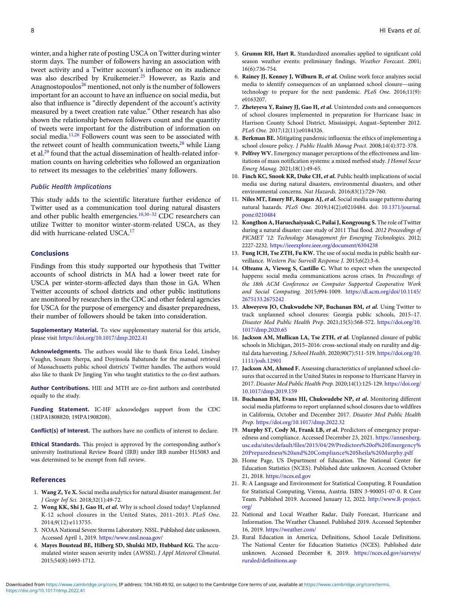<span id="page-7-0"></span>winter, and a higher rate of posting USCA on Twitter during winter storm days. The number of followers having an association with tweet activity and a Twitter account's influence on its audience was also described by Kruikemeier.<sup>[25](#page-8-0)</sup> However, as Razis and Anagnostopoulos<sup>[26](#page-8-0)</sup> mentioned, not only is the number of followers important for an account to have an influence on social media, but also that influence is "directly dependent of the account's activity measured by a tweet creation rate value." Other research has also shown the relationship between followers count and the quantity of tweets were important for the distribution of information on social media.<sup>11,[26](#page-8-0)</sup> Followers count was seen to be associated with the retweet count of health communication tweets, $28$  while Liang et al.[29](#page-8-0) found that the actual dissemination of health-related information counts on having celebrities who followed an organization to retweet its messages to the celebrities' many followers.

#### Public Health Implications

This study adds to the scientific literature further evidence of Twitter used as a communication tool during natural disasters and other public health emergencies.<sup>10,[30](#page-8-0)-[32](#page-8-0)</sup> CDC researchers can utilize Twitter to monitor winter-storm-related USCA, as they did with hurricane-related USCA.<sup>17</sup>

#### Conclusions

Findings from this study supported our hypothesis that Twitter accounts of school districts in MA had a lower tweet rate for USCA per winter-storm-affected days than those in GA. When Twitter accounts of school districts and other public institutions are monitored by researchers in the CDC and other federal agencies for USCA for the purpose of emergency and disaster preparedness, their number of followers should be taken into consideration.

Supplementary Material. To view supplementary material for this article, please visit <https://doi.org/10.1017/dmp.2022.41>

Acknowledgments. The authors would like to thank Erica Ledel, Lindsey Vaughn, Sonam Sherpa, and Doyinsola Babatunde for the manual retrieval of Massachusetts public school districts' Twitter handles. The authors would also like to thank Dr Jingjing Yin who taught statistics to the co-first authors.

Author Contributions. HIE and MTH are co-first authors and contributed equally to the study.

Funding Statement. IC-HF acknowledges support from the CDC (18IPA1808820; 19IPA1908208).

Conflict(s) of Interest. The authors have no conflicts of interest to declare.

Ethical Standards. This project is approved by the corresponding author's university Institutional Review Board (IRB) under IRB number H15083 and was determined to be exempt from full review.

#### References

- 1. Wang Z, Ye X. Social media analytics for natural disaster management. Int J Geogr Inf Sci. 2018;32(1):49-72.
- 2. Wong KK, Shi J, Gao H, et al. Why is school closed today? Unplanned K-12 school closures in the United States, 2011–2013. PLoS One. 2014;9(12):e113755.
- 3. NOAA National Severe Storms Laboratory. NSSL. Published date unknown. Accessed April 1, 2019. <https://www.nssl.noaa.gov/>
- 4. Mayes Boustead BE, Hilberg SD, Shulski MD, Hubbard KG. The accumulated winter season severity index (AWSSI). J Appl Meteorol Climatol. 2015;54(8):1693-1712.
- 5. Grumm RH, Hart R. Standardized anomalies applied to significant cold season weather events: preliminary findings. *Weather Forecast*. 2001;<br>16(6):736-754.<br>**Rainey JJ, Kenney J, Wilburn B,** *et al*. Online work force analyzes social<br>media to identify consequences of an unplanned school closu 16(6):736-754.
- 6. Rainey JJ, Kenney J, Wilburn B, et al. Online work force analyzes social media to identify consequences of an unplanned school closure—using technology to prepare for the next pandemic. PLoS One. 2016;11(9): e0163207.
- 7. Zheteyeva Y, Rainey JJ, Gao H, et al. Unintended costs and consequences of school closures implemented in preparation for Hurricane Isaac in Harrison County School District, Mississippi, August–September 2012. PLoS One. 2017;12(11):e0184326.
- 8. Berkman BE. Mitigating pandemic influenza: the ethics of implementing a school closure policy. J Public Health Manag Pract. 2008;14(4):372-378.
- 9. Pelfrey WV. Emergency manager perceptions of the effectiveness and limitations of mass notification systems: a mixed method study. J Homel Secur Emerg Manag. 2021;18(1):49-65.
- 10. Finch KC, Snook KR, Duke CH, et al. Public health implications of social media use during natural disasters, environmental disasters, and other environmental concerns. Nat Hazards. 2016;83(1):729-760.
- 11. Niles MT, Emery BF, Reagan AJ, et al. Social media usage patterns during natural hazards. PLoS One. 2019;14(2):e0210484. doi: [10.1371/journal.](https://doi.org/10.1371/journal.pone.0210484) [pone.0210484](https://doi.org/10.1371/journal.pone.0210484)
- 12. Kongthon A, Haruechaiyasak C, Pailai J, Kongyoung S. The role of Twitter during a natural disaster: case study of 2011 Thai flood. 2012 Proceedings of PICMET '12: Technology Management for Emerging Technologies. 2012; 2227-2232. <https://ieeexplore.ieee.org/document/6304238>
- 13. Fung ICH, Tse ZTH, Fu KW. The use of social media in public health surveillance. Western Pac Surveill Response J. 2015;6(2):3-6.
- 14. Olteanu A, Vieweg S, Castillo C. What to expect when the unexpected happens: social media communications across crises. In Proceedings of the 18th ACM Conference on Computer Supported Cooperative Work and Social Computing. 2015;994-1009. [https://dl.acm.org/doi/10.1145/](https://doi.org/https://dl.acm.org/doi/10.1145/2675133.2675242) [2675133.2675242](https://doi.org/https://dl.acm.org/doi/10.1145/2675133.2675242)
- 15. Ahweyevu JO, Chukwudebe NP, Buchanan BM, et al. Using Twitter to track unplanned school closures: Georgia public schools, 2015–17. Disaster Med Public Health Prep. 2021;15(5):568-572. [https://doi.org/10.](https://doi.org/10.1017/dmp.2020.65) [1017/dmp.2020.65](https://doi.org/10.1017/dmp.2020.65)
- 16. Jackson AM, Mullican LA, Tse ZTH, et al. Unplanned closure of public schools in Michigan, 2015–2016: cross-sectional study on rurality and digital data harvesting. J School Health. 2020;90(7):511-519. [https://doi.org/10.](https://doi.org/10.1111/josh.12901) [1111/josh.12901](https://doi.org/10.1111/josh.12901)
- 17. Jackson AM, Ahmed F. Assessing characteristics of unplanned school closures that occurred in the United States in response to Hurricane Harvey in 2017. Disaster Med Public Health Prep. 2020;14(1):125-129. [https://doi.org/](https://doi.org/10.1017/dmp.2019.159) [10.1017/dmp.2019.159](https://doi.org/10.1017/dmp.2019.159)
- 18. Buchanan BM, Evans HI, Chukwudebe NP, et al. Monitoring different social media platforms to report unplanned school closures due to wildfires in California, October and December 2017. Disaster Med Public Health Prep. <https://doi.org/10.1017/dmp.2022.32>
- 19. Murphy ST, Cody M, Frank LB, et al. Predictors of emergency preparedness and compliance. Accessed December 23, 2021. [https://annenberg.](https://annenberg.usc.edu/sites/default/files/2015/04/29/Predictors%20of%20Emergency%20Preparedness%20and%20Compliance%20Sheila%20Murphy.pdf) [usc.edu/sites/default/files/2015/04/29/Predictors%20of%20Emergency%](https://annenberg.usc.edu/sites/default/files/2015/04/29/Predictors%20of%20Emergency%20Preparedness%20and%20Compliance%20Sheila%20Murphy.pdf) [20Preparedness%20and%20Compliance%20Sheila%20Murphy.pdf](https://annenberg.usc.edu/sites/default/files/2015/04/29/Predictors%20of%20Emergency%20Preparedness%20and%20Compliance%20Sheila%20Murphy.pdf)
- 20. Home Page, US Department of Education. The National Center for Education Statistics (NCES). Published date unknown. Accessed October 21, 2018. <https://nces.ed.gov>
- 21. R: A Language and Environment for Statistical Computing. R Foundation for Statistical Computing, Vienna, Austria. ISBN 3-900051-07-0. R Core Team. Published 2019. Accessed January 12, 2022. [http://www.R-project.](http://www.R-project.org/) [org/](http://www.R-project.org/)
- 22. National and Local Weather Radar, Daily Forecast, Hurricane and Information. The Weather Channel. Published 2019. Accessed September 16, 2019. <https://weather.com/>
- 23. Rural Education in America, Definitions, School Locale Definitions. The National Center for Education Statistics (NCES). Published date unknown. Accessed December 8, 2019. [https://nces.ed.gov/surveys/](https://nces.ed.gov/surveys/ruraled/definitions.asp) [ruraled/definitions.asp](https://nces.ed.gov/surveys/ruraled/definitions.asp)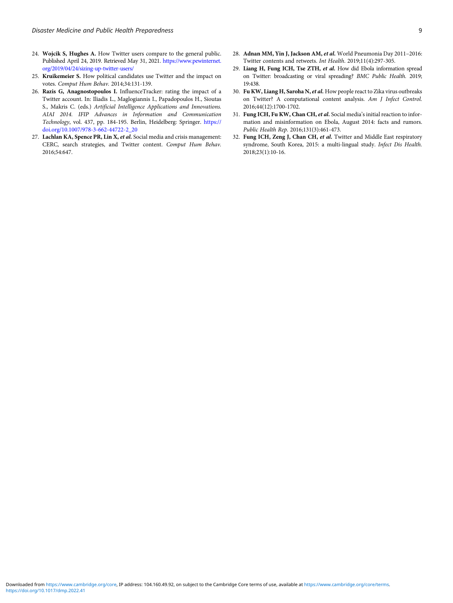- <span id="page-8-0"></span>24. Wojcik S, Hughes A. How Twitter users compare to the general public. Published April 24, 2019. Retrieved May 31, 2021. [https://www.pewinternet.](https://www.pewinternet.org/2019/04/24/sizing-up-twitter-users/) [org/2019/04/24/sizing-up-twitter-users/](https://www.pewinternet.org/2019/04/24/sizing-up-twitter-users/)
- 25. Kruikemeier S. How political candidates use Twitter and the impact on votes. Comput Hum Behav. 2014;34:131-139.
- 26. Razis G, Anagnostopoulos I. InfluenceTracker: rating the impact of a Twitter account. In: Iliadis L., Maglogiannis I., Papadopoulos H., Sioutas S., Makris C. (eds.) Artificial Intelligence Applications and Innovations. AIAI 2014. IFIP Advances in Information and Communication Technology, vol. 437, pp. 184-195. Berlin, Heidelberg: Springer. [https://](https://doi.org/https://doi.org/10.1007/978-3-662-44722-2_20) [doi.org/10.1007/978-3-662-44722-2\\_20](https://doi.org/https://doi.org/10.1007/978-3-662-44722-2_20)
- 27. Lachlan KA, Spence PR, Lin X, et al. Social media and crisis management: CERC, search strategies, and Twitter content. Comput Hum Behav. 2016;54:647.
- 28. Adnan MM, Yin J, Jackson AM, et al. World Pneumonia Day 2011–2016: Twitter contents and retweets. Int Health. 2019;11(4):297-305.
- 29. Liang H, Fung ICH, Tse ZTH, et al. How did Ebola information spread on Twitter: broadcasting or viral spreading? BMC Public Health. 2019; 19:438.
- 30. Fu KW, Liang H, Saroha N, et al. How people react to Zika virus outbreaks on Twitter? A computational content analysis. Am J Infect Control. 2016;44(12):1700-1702.
- 31. Fung ICH, Fu KW, Chan CH, et al. Social media's initial reaction to information and misinformation on Ebola, August 2014: facts and rumors. Public Health Rep. 2016;131(3):461-473.
- 32. Fung ICH, Zeng J, Chan CH, et al. Twitter and Middle East respiratory syndrome, South Korea, 2015: a multi-lingual study. Infect Dis Health. 2018;23(1):10-16.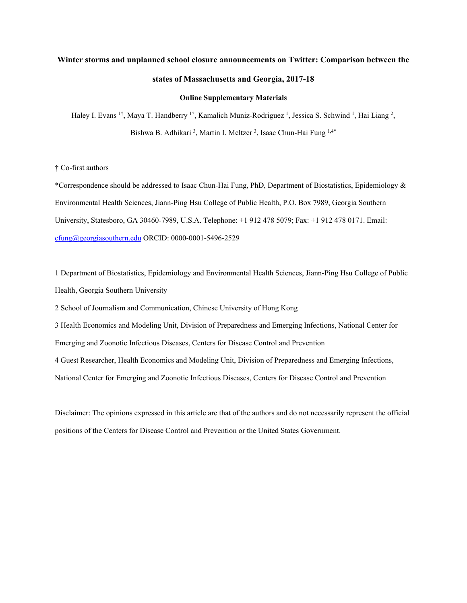# **Winter storms and unplanned school closure announcements on Twitter: Comparison between the states of Massachusetts and Georgia, 2017-18**

#### **Online Supplementary Materials**

Haley I. Evans <sup>1†</sup>, Maya T. Handberry <sup>1†</sup>, Kamalich Muniz-Rodriguez <sup>1</sup>, Jessica S. Schwind <sup>1</sup>, Hai Liang <sup>2</sup>, Bishwa B. Adhikari<sup>3</sup>, Martin I. Meltzer<sup>3</sup>, Isaac Chun-Hai Fung<sup>1,4\*</sup>

## † Co-first authors

\*Correspondence should be addressed to Isaac Chun-Hai Fung, PhD, Department of Biostatistics, Epidemiology & Environmental Health Sciences, Jiann-Ping Hsu College of Public Health, P.O. Box 7989, Georgia Southern University, Statesboro, GA 30460-7989, U.S.A. Telephone: +1 912 478 5079; Fax: +1 912 478 0171. Email: cfung@georgiasouthern.edu ORCID: 0000-0001-5496-2529

1 Department of Biostatistics, Epidemiology and Environmental Health Sciences, Jiann-Ping Hsu College of Public Health, Georgia Southern University

2 School of Journalism and Communication, Chinese University of Hong Kong

3 Health Economics and Modeling Unit, Division of Preparedness and Emerging Infections, National Center for

Emerging and Zoonotic Infectious Diseases, Centers for Disease Control and Prevention

4 Guest Researcher, Health Economics and Modeling Unit, Division of Preparedness and Emerging Infections,

National Center for Emerging and Zoonotic Infectious Diseases, Centers for Disease Control and Prevention

Disclaimer: The opinions expressed in this article are that of the authors and do not necessarily represent the official positions of the Centers for Disease Control and Prevention or the United States Government.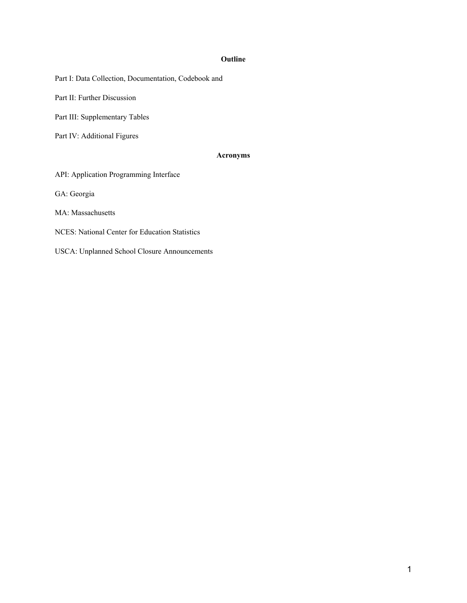# **Outline**

Part I: Data Collection, Documentation, Codebook and

Part II: Further Discussion

Part III: Supplementary Tables

Part IV: Additional Figures

# **Acronyms**

API: Application Programming Interface

GA: Georgia

MA: Massachusetts

NCES: National Center for Education Statistics

USCA: Unplanned School Closure Announcements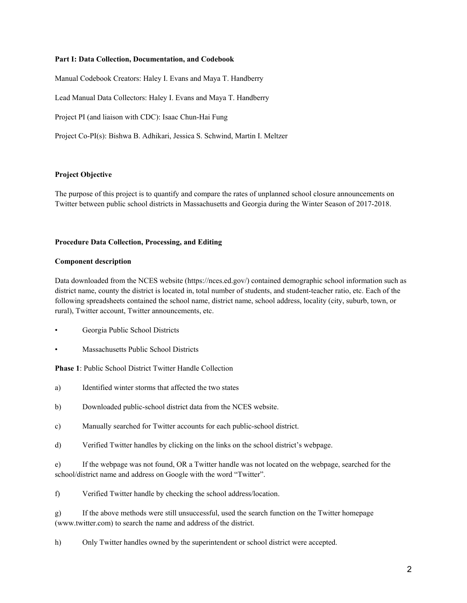### **Part I: Data Collection, Documentation, and Codebook**

Manual Codebook Creators: Haley I. Evans and Maya T. Handberry Lead Manual Data Collectors: Haley I. Evans and Maya T. Handberry Project PI (and liaison with CDC): Isaac Chun-Hai Fung Project Co-PI(s): Bishwa B. Adhikari, Jessica S. Schwind, Martin I. Meltzer

# **Project Objective**

The purpose of this project is to quantify and compare the rates of unplanned school closure announcements on Twitter between public school districts in Massachusetts and Georgia during the Winter Season of 2017-2018.

#### **Procedure Data Collection, Processing, and Editing**

#### **Component description**

Data downloaded from the NCES website (https://nces.ed.gov/) contained demographic school information such as district name, county the district is located in, total number of students, and student-teacher ratio, etc. Each of the following spreadsheets contained the school name, district name, school address, locality (city, suburb, town, or rural), Twitter account, Twitter announcements, etc.

- Georgia Public School Districts
- Massachusetts Public School Districts

**Phase 1**: Public School District Twitter Handle Collection

- a) Identified winter storms that affected the two states
- b) Downloaded public-school district data from the NCES website.
- c) Manually searched for Twitter accounts for each public-school district.
- d) Verified Twitter handles by clicking on the links on the school district's webpage.

e) If the webpage was not found, OR a Twitter handle was not located on the webpage, searched for the school/district name and address on Google with the word "Twitter".

f) Verified Twitter handle by checking the school address/location.

g) If the above methods were still unsuccessful, used the search function on the Twitter homepage (www.twitter.com) to search the name and address of the district.

h) Only Twitter handles owned by the superintendent or school district were accepted.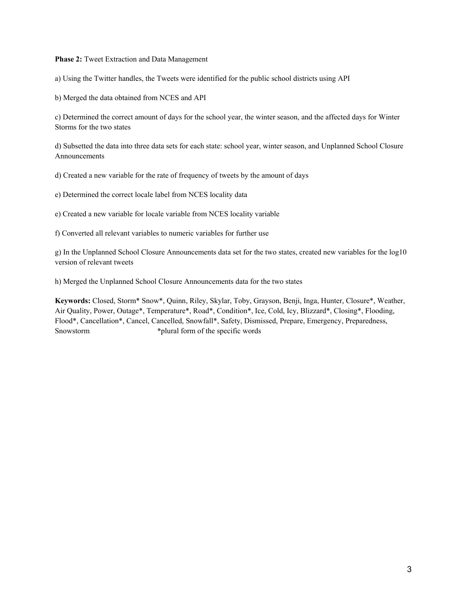### **Phase 2:** Tweet Extraction and Data Management

a) Using the Twitter handles, the Tweets were identified for the public school districts using API

b) Merged the data obtained from NCES and API

c) Determined the correct amount of days for the school year, the winter season, and the affected days for Winter Storms for the two states

d) Subsetted the data into three data sets for each state: school year, winter season, and Unplanned School Closure Announcements

d) Created a new variable for the rate of frequency of tweets by the amount of days

e) Determined the correct locale label from NCES locality data

e) Created a new variable for locale variable from NCES locality variable

f) Converted all relevant variables to numeric variables for further use

g) In the Unplanned School Closure Announcements data set for the two states, created new variables for the log10 version of relevant tweets

h) Merged the Unplanned School Closure Announcements data for the two states

**Keywords:** Closed, Storm\* Snow\*, Quinn, Riley, Skylar, Toby, Grayson, Benji, Inga, Hunter, Closure\*, Weather, Air Quality, Power, Outage\*, Temperature\*, Road\*, Condition\*, Ice, Cold, Icy, Blizzard\*, Closing\*, Flooding, Flood\*, Cancellation\*, Cancel, Cancelled, Snowfall\*, Safety, Dismissed, Prepare, Emergency, Preparedness, Snowstorm **\***plural form of the specific words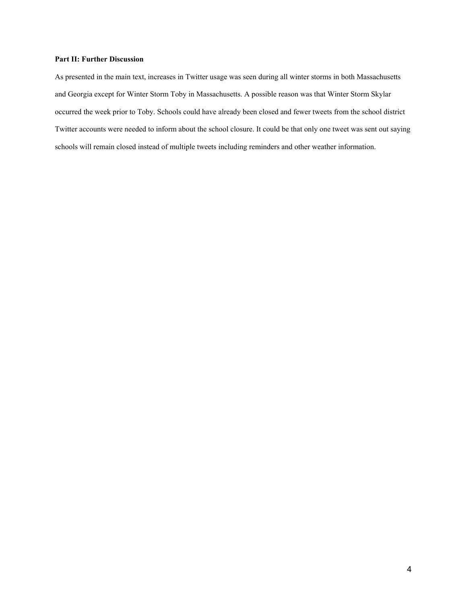# **Part II: Further Discussion**

As presented in the main text, increases in Twitter usage was seen during all winter storms in both Massachusetts and Georgia except for Winter Storm Toby in Massachusetts. A possible reason was that Winter Storm Skylar occurred the week prior to Toby. Schools could have already been closed and fewer tweets from the school district Twitter accounts were needed to inform about the school closure. It could be that only one tweet was sent out saying schools will remain closed instead of multiple tweets including reminders and other weather information.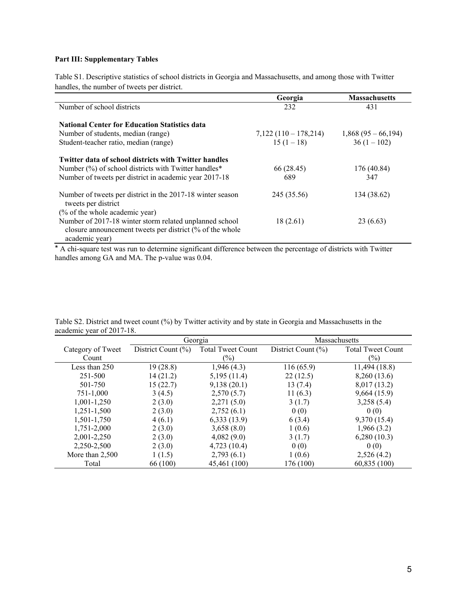# **Part III: Supplementary Tables**

Table S1. Descriptive statistics of school districts in Georgia and Massachusetts, and among those with Twitter handles, the number of tweets per district.

|                                                                                                                                                                                | Georgia              | <b>Massachusetts</b> |
|--------------------------------------------------------------------------------------------------------------------------------------------------------------------------------|----------------------|----------------------|
| Number of school districts                                                                                                                                                     | 232                  | 431                  |
| <b>National Center for Education Statistics data</b>                                                                                                                           |                      |                      |
| Number of students, median (range)                                                                                                                                             | $7,122(110-178,214)$ | $1,868(95-66,194)$   |
| Student-teacher ratio, median (range)                                                                                                                                          | $15(1-18)$           | $36(1-102)$          |
| <b>Twitter data of school districts with Twitter handles</b><br>Number (%) of school districts with Twitter handles*<br>Number of tweets per district in academic year 2017-18 | 66 (28.45)<br>689    | 176 (40.84)<br>347   |
| Number of tweets per district in the 2017-18 winter season<br>tweets per district                                                                                              | 245 (35.56)          | 134 (38.62)          |
| (% of the whole academic year)                                                                                                                                                 |                      |                      |
| Number of 2017-18 winter storm related unplanned school<br>closure announcement tweets per district (% of the whole<br>academic year)                                          | 18(2.61)             | 23 (6.63)            |

\* A chi-square test was run to determine significant difference between the percentage of districts with Twitter handles among GA and MA. The p-value was 0.04.

|                   | Georgia            |                          | Massachusetts          |                          |  |
|-------------------|--------------------|--------------------------|------------------------|--------------------------|--|
| Category of Tweet | District Count (%) | <b>Total Tweet Count</b> | District Count $(\% )$ | <b>Total Tweet Count</b> |  |
| Count             |                    | $(\%)$                   |                        | (%)                      |  |
| Less than $250$   | 19(28.8)           | 1,946(4.3)               | 116(65.9)              | 11,494 (18.8)            |  |
| 251-500           | 14(21.2)           | 5,195(11.4)              | 22(12.5)               | 8,260 (13.6)             |  |
| 501-750           | 15(22.7)           | 9,138(20.1)              | 13(7.4)                | 8,017 (13.2)             |  |
| 751-1,000         | 3(4.5)             | 2,570(5.7)               | 11(6.3)                | 9,664(15.9)              |  |
| 1,001-1,250       | 2(3.0)             | 2,271(5.0)               | 3(1.7)                 | 3,258(5.4)               |  |
| $1,251-1,500$     | 2(3.0)             | 2,752(6.1)               | 0(0)                   | 0(0)                     |  |
| 1,501-1,750       | 4(6.1)             | 6,333(13.9)              | 6(3.4)                 | 9,370 (15.4)             |  |
| 1,751-2,000       | 2(3.0)             | 3,658(8.0)               | 1(0.6)                 | 1,966(3.2)               |  |
| 2,001-2,250       | 2(3.0)             | 4,082(9.0)               | 3(1.7)                 | 6,280(10.3)              |  |
| 2,250-2,500       | 2(3.0)             | 4,723(10.4)              | 0(0)                   | 0(0)                     |  |
| More than $2,500$ | 1(1.5)             | 2,793(6.1)               | 1(0.6)                 | 2,526(4.2)               |  |
| Total             | 66 (100)           | 45,461 (100)             | 176 (100)              | 60,835(100)              |  |

Table S2. District and tweet count (%) by Twitter activity and by state in Georgia and Massachusetts in the academic year of 2017-18.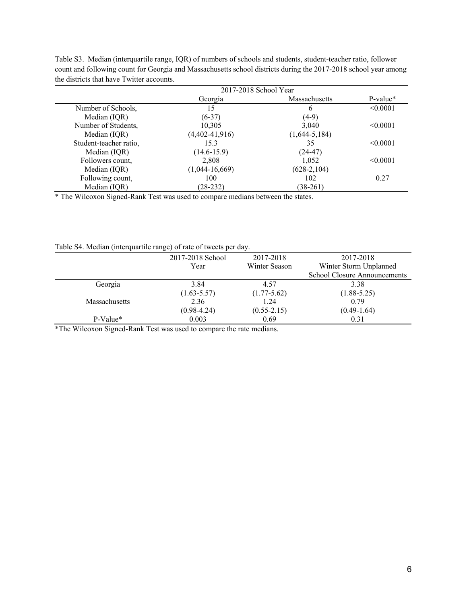|                        | 2017-2018 School Year |                 |               |
|------------------------|-----------------------|-----------------|---------------|
|                        | Georgia               | Massachusetts   | $P-value*$    |
| Number of Schools,     | 15                    | 6               | < 0.0001      |
| Median (IQR)           | $(6-37)$              | $(4-9)$         |               |
| Number of Students,    | 10,305                | 3,040           | < 0.0001      |
| Median (IQR)           | $(4,402-41,916)$      | $(1,644-5,184)$ |               |
| Student-teacher ratio, | 15.3                  | 35              | < 0.0001      |
| Median (IQR)           | $(14.6 - 15.9)$       | $(24-47)$       |               |
| Followers count,       | 2.808                 | 1.052           | $\leq 0.0001$ |
| Median (IQR)           | $(1,044-16,669)$      | $(628-2,104)$   |               |
| Following count,       | 100                   | 102             | 0.27          |
| Median (IQR)           | $(28-232)$            | $(38-261)$      |               |

Table S3. Median (interquartile range, IQR) of numbers of schools and students, student-teacher ratio, follower count and following count for Georgia and Massachusetts school districts during the 2017-2018 school year among the districts that have Twitter accounts.

\* The Wilcoxon Signed-Rank Test was used to compare medians between the states.

Table S4. Median (interquartile range) of rate of tweets per day.

|                      | 2017-2018 School | 2017-2018       | 2017-2018                           |
|----------------------|------------------|-----------------|-------------------------------------|
|                      | Year             | Winter Season   | Winter Storm Unplanned              |
|                      |                  |                 | <b>School Closure Announcements</b> |
| Georgia              | 3.84             | 4.57            | 3.38                                |
|                      | $(1.63 - 5.57)$  | $(1.77 - 5.62)$ | $(1.88 - 5.25)$                     |
| <b>Massachusetts</b> | 2.36             | 1.24            | 0.79                                |
|                      | $(0.98 - 4.24)$  | $(0.55 - 2.15)$ | $(0.49-1.64)$                       |
| $P-Value*$           | 0.003            | 0.69            | 0.31                                |

\*The Wilcoxon Signed-Rank Test was used to compare the rate medians.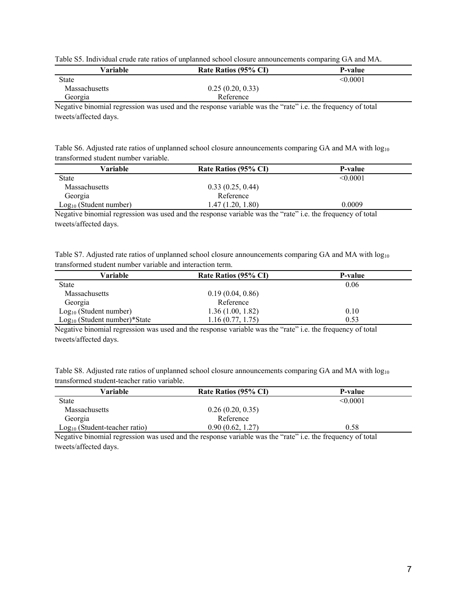|  |  |  | Table S5. Individual crude rate ratios of unplanned school closure announcements comparing GA and MA. |
|--|--|--|-------------------------------------------------------------------------------------------------------|
|  |  |  |                                                                                                       |

|                      |                      | ຼ             |
|----------------------|----------------------|---------------|
| Variable             | Rate Ratios (95% CI) | P-value       |
| State                |                      | $\leq 0.0001$ |
| <b>Massachusetts</b> | 0.25(0.20, 0.33)     |               |
| Georgia              | Reference            |               |

Negative binomial regression was used and the response variable was the "rate" i.e. the frequency of total tweets/affected days.

| Table S6. Adjusted rate ratios of unplanned school closure announcements comparing GA and MA with $log_{10}$ |  |  |
|--------------------------------------------------------------------------------------------------------------|--|--|
| transformed student number variable.                                                                         |  |  |

| Variable                 | Rate Ratios (95% CI) | <b>P-value</b> |
|--------------------------|----------------------|----------------|
| <b>State</b>             |                      | < 0.0001       |
| <b>Massachusetts</b>     | 0.33(0.25, 0.44)     |                |
| Georgia                  | Reference            |                |
| $Log10$ (Student number) | 1.47 (1.20, 1.80)    | 0.0009         |

Negative binomial regression was used and the response variable was the "rate" i.e. the frequency of total tweets/affected days.

| Table S7. Adjusted rate ratios of unplanned school closure announcements comparing GA and MA with $log_{10}$ |  |  |
|--------------------------------------------------------------------------------------------------------------|--|--|
| transformed student number variable and interaction term.                                                    |  |  |

| Variable                       | Rate Ratios (95% CI) | P-value |
|--------------------------------|----------------------|---------|
| <b>State</b>                   |                      | 0.06    |
| <b>Massachusetts</b>           | 0.19(0.04, 0.86)     |         |
| Georgia                        | Reference            |         |
| $Log10$ (Student number)       | 1.36(1.00, 1.82)     | 0.10    |
| $Log10$ (Student number)*State | 1.16(0.77, 1.75)     | 0.53    |

Negative binomial regression was used and the response variable was the "rate" i.e. the frequency of total tweets/affected days.

| Table S8. Adjusted rate ratios of unplanned school closure announcements comparing GA and MA with $log_{10}$ |  |  |
|--------------------------------------------------------------------------------------------------------------|--|--|
| transformed student-teacher ratio variable.                                                                  |  |  |

| Variable                        | Rate Ratios (95% CI) | P-value  |
|---------------------------------|----------------------|----------|
| <b>State</b>                    |                      | < 0.0001 |
| <b>Massachusetts</b>            | 0.26(0.20, 0.35)     |          |
| Georgia                         | Reference            |          |
| $Log10$ (Student-teacher ratio) | 0.90(0.62, 1.27)     | 0.58     |

Negative binomial regression was used and the response variable was the "rate" i.e. the frequency of total tweets/affected days.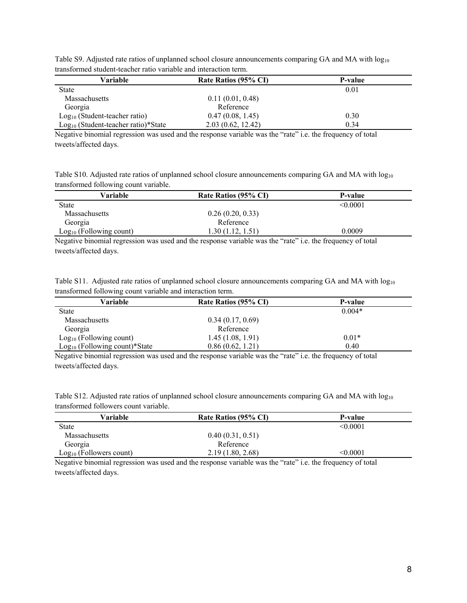| umiolohinvu onuvent neuvilel lunio + mliuole mitu ilineluvuoli nellin |                      |                |  |  |
|-----------------------------------------------------------------------|----------------------|----------------|--|--|
| Variable                                                              | Rate Ratios (95% CI) | <b>P-value</b> |  |  |
| <b>State</b>                                                          |                      | 0.01           |  |  |
| Massachusetts                                                         | 0.11(0.01, 0.48)     |                |  |  |
| Georgia                                                               | Reference            |                |  |  |
| $Log10$ (Student-teacher ratio)                                       | 0.47(0.08, 1.45)     | 0.30           |  |  |
| Log <sub>10</sub> (Student-teacher ratio)*State                       | 2.03(0.62, 12.42)    | 0.34           |  |  |

Table S9. Adjusted rate ratios of unplanned school closure announcements comparing GA and MA with log<sub>10</sub> transformed student-teacher ratio variable and interaction term.

Negative binomial regression was used and the response variable was the "rate" i.e. the frequency of total tweets/affected days.

Table S10. Adjusted rate ratios of unplanned school closure announcements comparing GA and MA with log<sub>10</sub> transformed following count variable.

| Variable                  | Rate Ratios (95% CI) | P-value  |
|---------------------------|----------------------|----------|
| <b>State</b>              |                      | < 0.0001 |
| <b>Massachusetts</b>      | 0.26(0.20, 0.33)     |          |
| Georgia                   | Reference            |          |
| $Log10$ (Following count) | .30(1.12, 1.51)      | 0.0009   |

Negative binomial regression was used and the response variable was the "rate" i.e. the frequency of total tweets/affected days.

|  | Table S11. Adjusted rate ratios of unplanned school closure announcements comparing GA and MA with $log_{10}$ |  |  |  |
|--|---------------------------------------------------------------------------------------------------------------|--|--|--|
|  | transformed following count variable and interaction term.                                                    |  |  |  |

| Variable                        | Rate Ratios (95% CI) | P-value  |
|---------------------------------|----------------------|----------|
| <b>State</b>                    |                      | $0.004*$ |
| <b>Massachusetts</b>            | 0.34(0.17, 0.69)     |          |
| Georgia                         | Reference            |          |
| $Log10$ (Following count)       | 1.45(1.08, 1.91)     | $0.01*$  |
| $Log10$ (Following count)*State | 0.86(0.62, 1.21)     | 0.40     |

Negative binomial regression was used and the response variable was the "rate" i.e. the frequency of total tweets/affected days.

| Table S12. Adjusted rate ratios of unplanned school closure announcements comparing GA and MA with log <sub>10</sub> |  |  |
|----------------------------------------------------------------------------------------------------------------------|--|--|
| transformed followers count variable.                                                                                |  |  |

| Variable                  | Rate Ratios (95% CI)                                  | P-value       |
|---------------------------|-------------------------------------------------------|---------------|
| <b>State</b>              |                                                       | < 0.0001      |
| Massachusetts             | 0.40(0.31, 0.51)                                      |               |
| Georgia                   | Reference                                             |               |
| $Log10$ (Followers count) | 2.19(1.80, 2.68)                                      | < 0.0001      |
|                           | . .<br>.<br>$\sim$ $\sim$ $\sim$ $\sim$ $\sim$ $\sim$ | $\sim$ $\sim$ |

Negative binomial regression was used and the response variable was the "rate" i.e. the frequency of total tweets/affected days.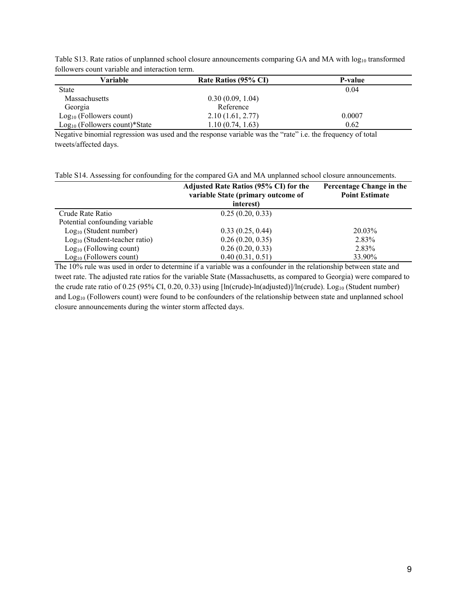| Variable                        | Rate Ratios (95% CI) | P-value |  |  |
|---------------------------------|----------------------|---------|--|--|
| <b>State</b>                    |                      | 0.04    |  |  |
| Massachusetts                   | 0.30(0.09, 1.04)     |         |  |  |
| Georgia                         | Reference            |         |  |  |
| $Log10$ (Followers count)       | 2.10(1.61, 2.77)     | 0.0007  |  |  |
| $Log10$ (Followers count)*State | 1.10 (0.74, 1.63)    | 0.62    |  |  |

Table S13. Rate ratios of unplanned school closure announcements comparing GA and MA with  $log_{10}$  transformed followers count variable and interaction term.

Negative binomial regression was used and the response variable was the "rate" i.e. the frequency of total tweets/affected days.

Table S14. Assessing for confounding for the compared GA and MA unplanned school closure announcements.

|                                 | Adjusted Rate Ratios (95% CI) for the<br>variable State (primary outcome of<br>interest) | Percentage Change in the<br><b>Point Estimate</b> |
|---------------------------------|------------------------------------------------------------------------------------------|---------------------------------------------------|
| Crude Rate Ratio                | 0.25(0.20, 0.33)                                                                         |                                                   |
| Potential confounding variable  |                                                                                          |                                                   |
| $Log10$ (Student number)        | 0.33(0.25, 0.44)                                                                         | 20.03%                                            |
| $Log10$ (Student-teacher ratio) | 0.26(0.20, 0.35)                                                                         | 2.83%                                             |
| $Log10$ (Following count)       | 0.26(0.20, 0.33)                                                                         | 2.83%                                             |
| $Log10$ (Followers count)       | 0.40(0.31, 0.51)                                                                         | 33.90%                                            |

The 10% rule was used in order to determine if a variable was a confounder in the relationship between state and tweet rate. The adjusted rate ratios for the variable State (Massachusetts, as compared to Georgia) were compared to the crude rate ratio of 0.25 (95% CI, 0.20, 0.33) using [ln(crude)-ln(adjusted)]/ln(crude). Log<sub>10</sub> (Student number) and Log<sub>10</sub> (Followers count) were found to be confounders of the relationship between state and unplanned school closure announcements during the winter storm affected days.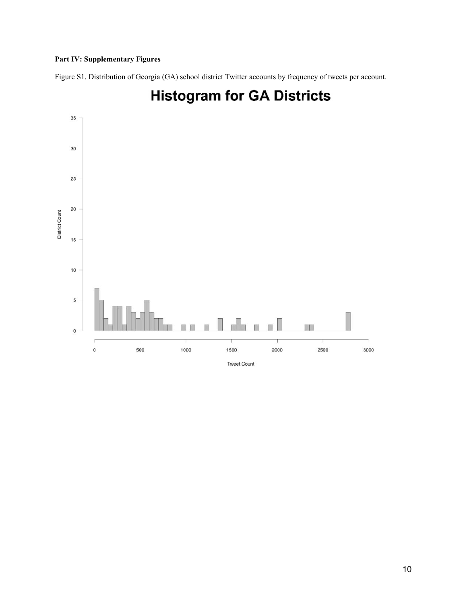# **Part IV: Supplementary Figures**

Figure S1. Distribution of Georgia (GA) school district Twitter accounts by frequency of tweets per account.



# **Histogram for GA Districts**

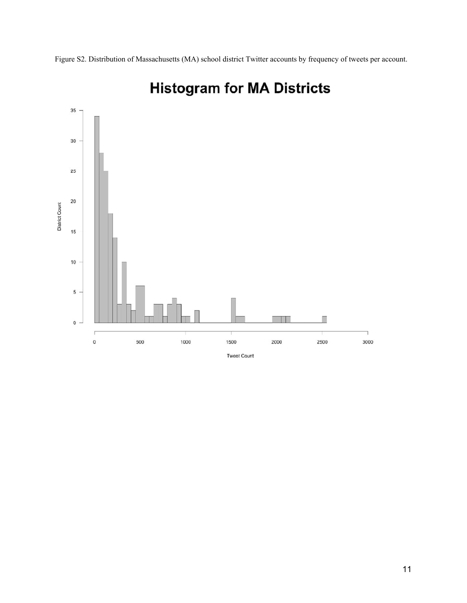

# **Histogram for MA Districts**

Figure S2. Distribution of Massachusetts (MA) school district Twitter accounts by frequency of tweets per account.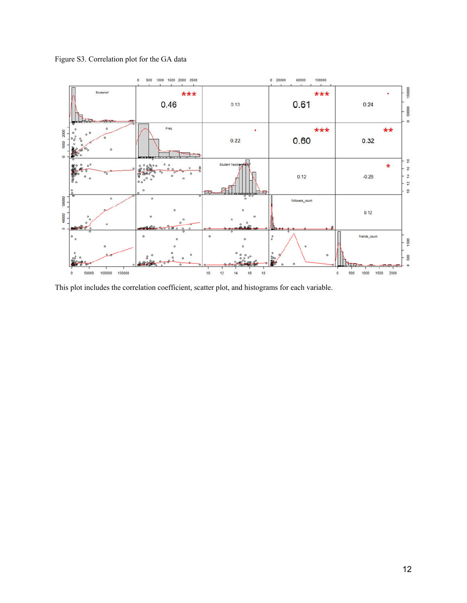



This plot includes the correlation coefficient, scatter plot, and histograms for each variable.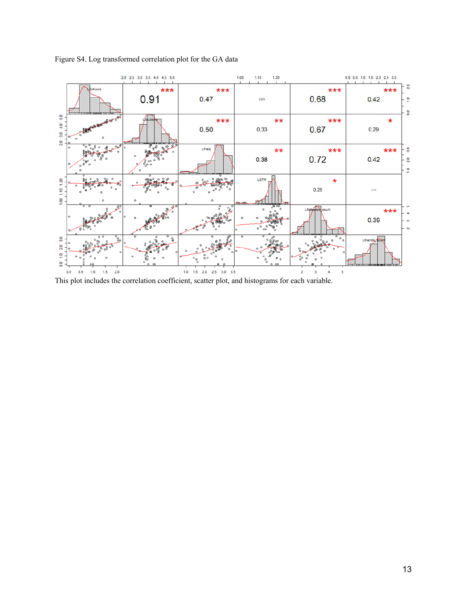

# Figure S4. Log transformed correlation plot for the GA data

This plot includes the correlation coefficient, scatter plot, and histograms for each variable.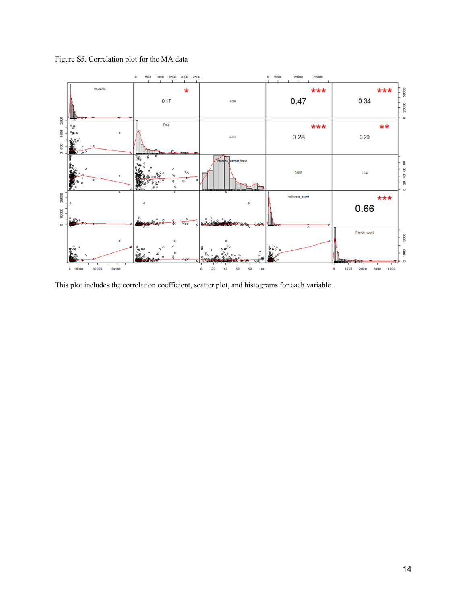Figure S5. Correlation plot for the MA data



This plot includes the correlation coefficient, scatter plot, and histograms for each variable.